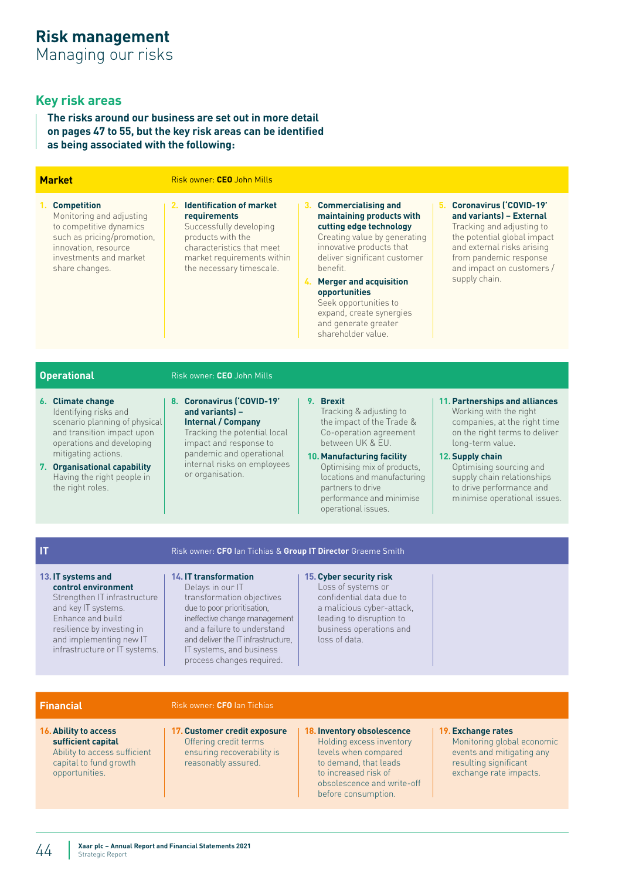# **Key risk areas**

**The risks around our business are set out in more detail on pages 47 to 55, but the key risk areas can be identified as being associated with the following:**

| <b>Market</b>                                                                                                                                                                                                                                   | Risk owner: CEO John Mills                                                                                                                                                                                                                                                 |                                                                                                                                                                                                                                                                                                                                         |                                                                                                                                                                                                                                                                                        |
|-------------------------------------------------------------------------------------------------------------------------------------------------------------------------------------------------------------------------------------------------|----------------------------------------------------------------------------------------------------------------------------------------------------------------------------------------------------------------------------------------------------------------------------|-----------------------------------------------------------------------------------------------------------------------------------------------------------------------------------------------------------------------------------------------------------------------------------------------------------------------------------------|----------------------------------------------------------------------------------------------------------------------------------------------------------------------------------------------------------------------------------------------------------------------------------------|
| <b>Competition</b><br>$1_{-}$<br>Monitoring and adjusting<br>to competitive dynamics<br>such as pricing/promotion,<br>innovation, resource<br>investments and market<br>share changes.                                                          | 2. Identification of market<br>requirements<br>Successfully developing<br>products with the<br>characteristics that meet<br>market requirements within<br>the necessary timescale.                                                                                         | 3. Commercialising and<br>maintaining products with<br>cutting edge technology<br>Creating value by generating<br>innovative products that<br>deliver significant customer<br>benefit.<br>4. Merger and acquisition<br>opportunities<br>Seek opportunities to<br>expand, create synergies<br>and generate greater<br>shareholder value. | 5. Coronavirus ('COVID-19'<br>and variants) - External<br>Tracking and adjusting to<br>the potential global impact<br>and external risks arising<br>from pandemic response<br>and impact on customers /<br>supply chain.                                                               |
|                                                                                                                                                                                                                                                 |                                                                                                                                                                                                                                                                            |                                                                                                                                                                                                                                                                                                                                         |                                                                                                                                                                                                                                                                                        |
| <b>Operational</b>                                                                                                                                                                                                                              | Risk owner: CEO John Mills                                                                                                                                                                                                                                                 |                                                                                                                                                                                                                                                                                                                                         |                                                                                                                                                                                                                                                                                        |
| 6. Climate change<br>Identifying risks and<br>scenario planning of physical<br>and transition impact upon<br>operations and developing<br>mitigating actions.<br>7. Organisational capability<br>Having the right people in<br>the right roles. | 8. Coronavirus ('COVID-19'<br>and variants) -<br><b>Internal / Company</b><br>Tracking the potential local<br>impact and response to<br>pandemic and operational<br>internal risks on employees<br>or organisation.                                                        | 9. Brexit<br>Tracking & adjusting to<br>the impact of the Trade &<br>Co-operation agreement<br>between UK & EU.<br>10. Manufacturing facility<br>Optimising mix of products,<br>locations and manufacturing<br>partners to drive<br>performance and minimise<br>operational issues.                                                     | 11. Partnerships and alliances<br>Working with the right<br>companies, at the right time<br>on the right terms to deliver<br>long-term value.<br>12. Supply chain<br>Optimising sourcing and<br>supply chain relationships<br>to drive performance and<br>minimise operational issues. |
|                                                                                                                                                                                                                                                 |                                                                                                                                                                                                                                                                            |                                                                                                                                                                                                                                                                                                                                         |                                                                                                                                                                                                                                                                                        |
| $\mathsf{I}$                                                                                                                                                                                                                                    | Risk owner: CFO Ian Tichias & Group IT Director Graeme Smith                                                                                                                                                                                                               |                                                                                                                                                                                                                                                                                                                                         |                                                                                                                                                                                                                                                                                        |
| 13. IT systems and<br>control environment<br>Strengthen IT infrastructure<br>and key IT systems.<br>Enhance and build<br>resilience by investing in<br>and implementing new IT<br>infrastructure or IT systems.                                 | <b>14.IT transformation</b><br>Delays in our IT<br>transformation objectives<br>due to poor prioritisation,<br>ineffective change management<br>and a failure to understand<br>and deliver the IT infrastructure.<br>IT systems, and business<br>process changes required. | 15. Cyber security risk<br>Loss of systems or<br>confidential data due to<br>a malicious cyber-attack,<br>leading to disruption to<br>business operations and<br>loss of data.                                                                                                                                                          |                                                                                                                                                                                                                                                                                        |

### **Financial** Risk owner: **CFO** Ian Tichias

- **16.Ability to access sufficient capital**  Ability to access sufficient capital to fund growth opportunities.
- **17.Customer credit exposure** Offering credit terms ensuring recoverability is reasonably assured.

#### **18.Inventory obsolescence**  Holding excess inventory levels when compared to demand, that leads to increased risk of obsolescence and write-off before consumption.

### **19.Exchange rates**

Monitoring global economic events and mitigating any resulting significant exchange rate impacts.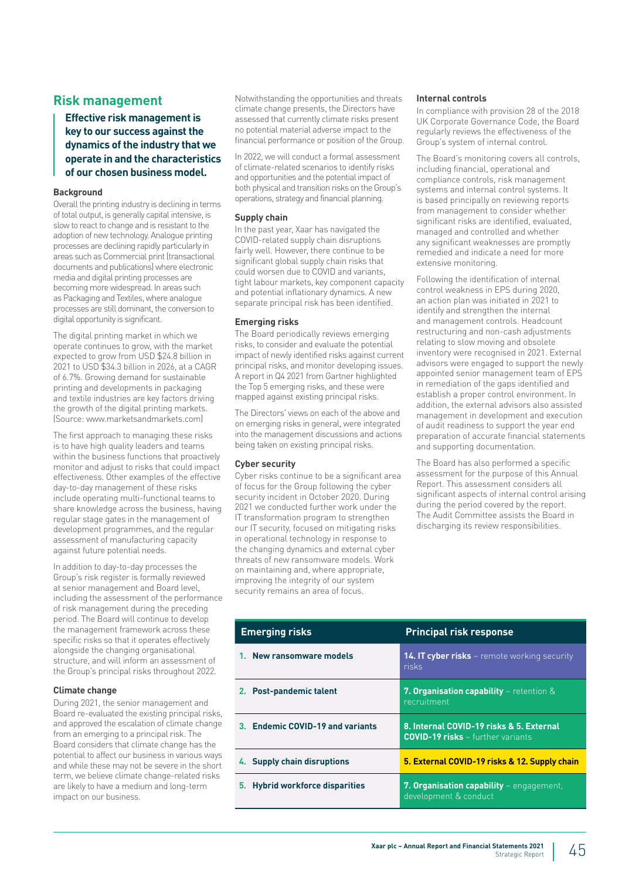# **Risk management**

**Effective risk management is key to our success against the dynamics of the industry that we operate in and the characteristics of our chosen business model.**

### **Background**

Overall the printing industry is declining in terms of total output, is generally capital intensive, is slow to react to change and is resistant to the adoption of new technology. Analogue printing processes are declining rapidly particularly in areas such as Commercial print (transactional documents and publications) where electronic media and digital printing processes are becoming more widespread. In areas such as Packaging and Textiles, where analogue processes are still dominant, the conversion to digital opportunity is significant.

The digital printing market in which we operate continues to grow, with the market expected to grow from USD \$24.8 billion in 2021 to USD \$34.3 billion in 2026, at a CAGR of 6.7%. Growing demand for sustainable printing and developments in packaging and textile industries are key factors driving the growth of the digital printing markets. (Source: [www.marketsandmarkets.com](http://www.marketsandmarkets.com))

The first approach to managing these risks is to have high quality leaders and teams within the business functions that proactively monitor and adjust to risks that could impact effectiveness. Other examples of the effective day-to-day management of these risks include operating multi-functional teams to share knowledge across the business, having regular stage gates in the management of development programmes, and the regular assessment of manufacturing capacity against future potential needs.

In addition to day-to-day processes the Group's risk register is formally reviewed at senior management and Board level, including the assessment of the performance of risk management during the preceding period. The Board will continue to develop the management framework across these specific risks so that it operates effectively alongside the changing organisational structure, and will inform an assessment of the Group's principal risks throughout 2022.

#### **Climate change**

During 2021, the senior management and Board re-evaluated the existing principal risks, and approved the escalation of climate change from an emerging to a principal risk. The Board considers that climate change has the potential to affect our business in various ways and while these may not be severe in the short term, we believe climate change-related risks are likely to have a medium and long-term impact on our business.

Notwithstanding the opportunities and threats climate change presents, the Directors have assessed that currently climate risks present no potential material adverse impact to the financial performance or position of the Group.

In 2022, we will conduct a formal assessment of climate-related scenarios to identify risks and opportunities and the potential impact of both physical and transition risks on the Group's operations, strategy and financial planning.

#### **Supply chain**

In the past year, Xaar has navigated the COVID-related supply chain disruptions fairly well. However, there continue to be significant global supply chain risks that could worsen due to COVID and variants, tight labour markets, key component capacity and potential inflationary dynamics. A new separate principal risk has been identified.

#### **Emerging risks**

The Board periodically reviews emerging risks, to consider and evaluate the potential impact of newly identified risks against current principal risks, and monitor developing issues. A report in Q4 2021 from Gartner highlighted the Top 5 emerging risks, and these were mapped against existing principal risks.

The Directors' views on each of the above and on emerging risks in general, were integrated into the management discussions and actions being taken on existing principal risks.

### **Cyber security**

Cyber risks continue to be a significant area of focus for the Group following the cyber security incident in October 2020. During 2021 we conducted further work under the IT transformation program to strengthen our IT security, focused on mitigating risks in operational technology in response to the changing dynamics and external cyber threats of new ransomware models. Work on maintaining and, where appropriate, improving the integrity of our system security remains an area of focus.

#### **Internal controls**

In compliance with provision 28 of the 2018 UK Corporate Governance Code, the Board regularly reviews the effectiveness of the Group's system of internal control.

The Board's monitoring covers all controls, including financial, operational and compliance controls, risk management systems and internal control systems. It is based principally on reviewing reports from management to consider whether significant risks are identified, evaluated, managed and controlled and whether any significant weaknesses are promptly remedied and indicate a need for more extensive monitoring.

Following the identification of internal control weakness in EPS during 2020, an action plan was initiated in 2021 to identify and strengthen the internal and management controls. Headcount restructuring and non-cash adjustments relating to slow moving and obsolete inventory were recognised in 2021. External advisors were engaged to support the newly appointed senior management team of EPS in remediation of the gaps identified and establish a proper control environment. In addition, the external advisors also assisted management in development and execution of audit readiness to support the year end preparation of accurate financial statements and supporting documentation.

The Board has also performed a specific assessment for the purpose of this Annual Report. This assessment considers all significant aspects of internal control arising during the period covered by the report. The Audit Committee assists the Board in discharging its review responsibilities.

| <b>Emerging risks</b>            | <b>Principal risk response</b>                                                       |
|----------------------------------|--------------------------------------------------------------------------------------|
| 1. New ransomware models         | <b>14. IT cyber risks</b> – remote working security<br>risks.                        |
| 2. Post-pandemic talent          | 7. Organisation capability - retention &<br>recruitment                              |
| 3. Endemic COVID-19 and variants | 8. Internal COVID-19 risks & 5. External<br><b>COVID-19 risks</b> – further variants |
| 4. Supply chain disruptions      | 5. External COVID-19 risks & 12. Supply chain                                        |
| 5. Hybrid workforce disparities  | 7. Organisation capability - engagement,<br>development & conduct                    |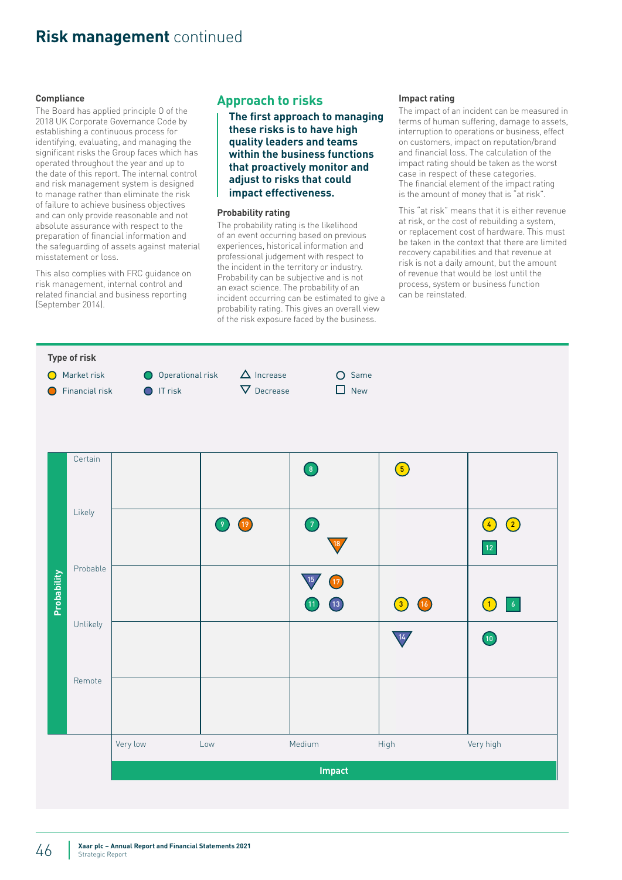#### **Compliance**

The Board has applied principle O of the 2018 UK Corporate Governance Code by establishing a continuous process for identifying, evaluating, and managing the significant risks the Group faces which has operated throughout the year and up to the date of this report. The internal control and risk management system is designed to manage rather than eliminate the risk of failure to achieve business objectives and can only provide reasonable and not absolute assurance with respect to the preparation of financial information and the safeguarding of assets against material misstatement or loss.

This also complies with FRC guidance on risk management, internal control and related financial and business reporting (September 2014).

# **Approach to risks**

**The first approach to managing these risks is to have high quality leaders and teams within the business functions that proactively monitor and adjust to risks that could impact effectiveness.**

#### **Probability rating**

The probability rating is the likelihood of an event occurring based on previous experiences, historical information and professional judgement with respect to the incident in the territory or industry. Probability can be subjective and is not an exact science. The probability of an incident occurring can be estimated to give a probability rating. This gives an overall view of the risk exposure faced by the business.

#### **Impact rating**

The impact of an incident can be measured in terms of human suffering, damage to assets, interruption to operations or business, effect on customers, impact on reputation/brand and financial loss. The calculation of the impact rating should be taken as the worst case in respect of these categories. The financial element of the impact rating is the amount of money that is "at risk".

This "at risk" means that it is either revenue at risk, or the cost of rebuilding a system, or replacement cost of hardware. This must be taken in the context that there are limited recovery capabilities and that revenue at risk is not a daily amount, but the amount of revenue that would be lost until the process, system or business function can be reinstated.

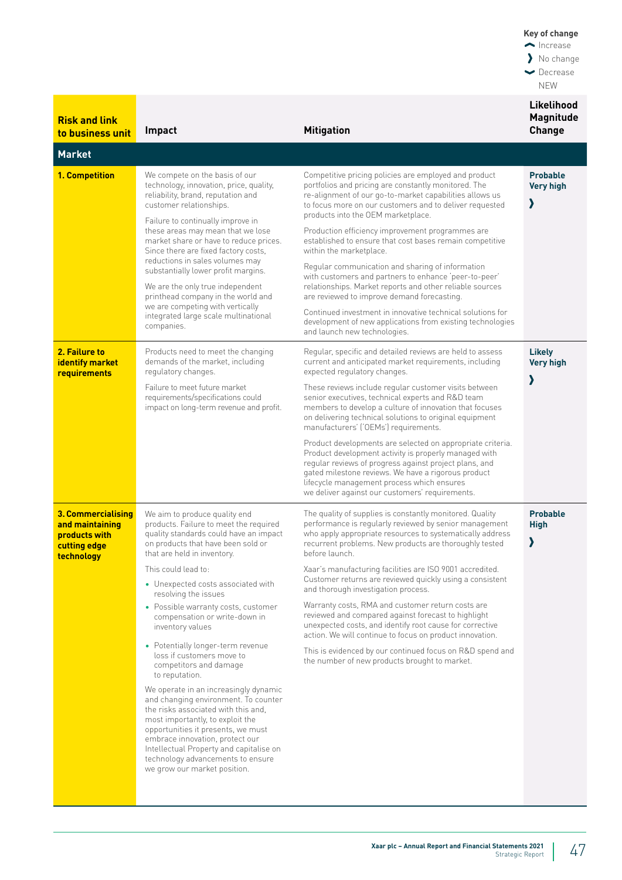| <b>Risk and link</b><br>to business unit                                             | Impact                                                                                                                                                                                                                                                                                                                                                                           | <b>Mitigation</b>                                                                                                                                                                                                                                                                                                                                                                                                                                                                                                                 | Likelihood<br><b>Magnitude</b><br>Change |
|--------------------------------------------------------------------------------------|----------------------------------------------------------------------------------------------------------------------------------------------------------------------------------------------------------------------------------------------------------------------------------------------------------------------------------------------------------------------------------|-----------------------------------------------------------------------------------------------------------------------------------------------------------------------------------------------------------------------------------------------------------------------------------------------------------------------------------------------------------------------------------------------------------------------------------------------------------------------------------------------------------------------------------|------------------------------------------|
| <b>Market</b>                                                                        |                                                                                                                                                                                                                                                                                                                                                                                  |                                                                                                                                                                                                                                                                                                                                                                                                                                                                                                                                   |                                          |
| 1. Competition                                                                       | We compete on the basis of our<br>technology, innovation, price, quality,<br>reliability, brand, reputation and<br>customer relationships.<br>Failure to continually improve in<br>these areas may mean that we lose<br>market share or have to reduce prices.<br>Since there are fixed factory costs,<br>reductions in sales volumes may<br>substantially lower profit margins. | Competitive pricing policies are employed and product<br>portfolios and pricing are constantly monitored. The<br>re-alignment of our go-to-market capabilities allows us<br>to focus more on our customers and to deliver requested<br>products into the OEM marketplace.<br>Production efficiency improvement programmes are<br>established to ensure that cost bases remain competitive<br>within the marketplace.<br>Regular communication and sharing of information<br>with customers and partners to enhance 'peer-to-peer' | <b>Probable</b><br><b>Very high</b><br>Σ |
|                                                                                      | We are the only true independent<br>printhead company in the world and<br>we are competing with vertically<br>integrated large scale multinational<br>companies.                                                                                                                                                                                                                 | relationships. Market reports and other reliable sources<br>are reviewed to improve demand forecasting.<br>Continued investment in innovative technical solutions for<br>development of new applications from existing technologies<br>and launch new technologies.                                                                                                                                                                                                                                                               |                                          |
| 2. Failure to<br>identify market<br>requirements                                     | Products need to meet the changing<br>demands of the market, including<br>regulatory changes.                                                                                                                                                                                                                                                                                    | Regular, specific and detailed reviews are held to assess<br>current and anticipated market requirements, including<br>expected regulatory changes.                                                                                                                                                                                                                                                                                                                                                                               | <b>Likely</b><br><b>Very high</b>        |
|                                                                                      | Failure to meet future market<br>requirements/specifications could<br>impact on long-term revenue and profit.                                                                                                                                                                                                                                                                    | These reviews include regular customer visits between<br>senior executives, technical experts and R&D team<br>members to develop a culture of innovation that focuses<br>on delivering technical solutions to original equipment<br>manufacturers' ('OEMs') requirements.                                                                                                                                                                                                                                                         |                                          |
|                                                                                      |                                                                                                                                                                                                                                                                                                                                                                                  | Product developments are selected on appropriate criteria.<br>Product development activity is properly managed with<br>regular reviews of progress against project plans, and<br>gated milestone reviews. We have a rigorous product<br>lifecycle management process which ensures<br>we deliver against our customers' requirements.                                                                                                                                                                                             |                                          |
| 3. Commercialising<br>and maintaining<br>products with<br>cutting edge<br>technology | We aim to produce quality end<br>products. Failure to meet the required<br>quality standards could have an impact<br>on products that have been sold or<br>that are held in inventory.                                                                                                                                                                                           | The quality of supplies is constantly monitored. Quality<br>performance is regularly reviewed by senior management<br>who apply appropriate resources to systematically address<br>recurrent problems. New products are thoroughly tested<br>before launch.                                                                                                                                                                                                                                                                       | <b>Probable</b><br><b>High</b><br>እ      |
|                                                                                      | This could lead to:<br>• Unexpected costs associated with<br>resolving the issues                                                                                                                                                                                                                                                                                                | Xaar's manufacturing facilities are ISO 9001 accredited.<br>Customer returns are reviewed quickly using a consistent<br>and thorough investigation process.                                                                                                                                                                                                                                                                                                                                                                       |                                          |
|                                                                                      | • Possible warranty costs, customer<br>compensation or write-down in<br>inventory values                                                                                                                                                                                                                                                                                         | Warranty costs, RMA and customer return costs are<br>reviewed and compared against forecast to highlight<br>unexpected costs, and identify root cause for corrective<br>action. We will continue to focus on product innovation.                                                                                                                                                                                                                                                                                                  |                                          |
|                                                                                      | • Potentially longer-term revenue<br>loss if customers move to<br>competitors and damage<br>to reputation.                                                                                                                                                                                                                                                                       | This is evidenced by our continued focus on R&D spend and<br>the number of new products brought to market.                                                                                                                                                                                                                                                                                                                                                                                                                        |                                          |
|                                                                                      | We operate in an increasingly dynamic<br>and changing environment. To counter<br>the risks associated with this and,<br>most importantly, to exploit the<br>opportunities it presents, we must<br>embrace innovation, protect our<br>Intellectual Property and capitalise on<br>technology advancements to ensure<br>we grow our market position.                                |                                                                                                                                                                                                                                                                                                                                                                                                                                                                                                                                   |                                          |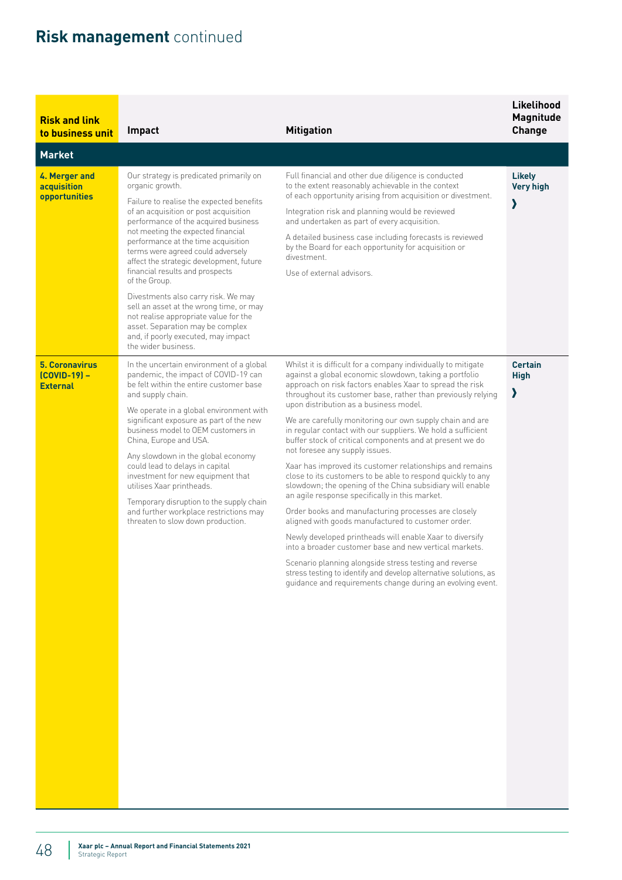| <b>Risk and link</b><br>to business unit                 | Impact                                                                                                                                                                                                                                                                                                                                                                                                                                                                                                                                                                                                                                 | <b>Mitigation</b>                                                                                                                                                                                                                                                                                                                                                                                                                                                                                                                                                                                                                                                                                                                                                                                                                                                                                                                                                                                                                                                                                                                                                                               | Likelihood<br><b>Magnitude</b><br><b>Change</b> |
|----------------------------------------------------------|----------------------------------------------------------------------------------------------------------------------------------------------------------------------------------------------------------------------------------------------------------------------------------------------------------------------------------------------------------------------------------------------------------------------------------------------------------------------------------------------------------------------------------------------------------------------------------------------------------------------------------------|-------------------------------------------------------------------------------------------------------------------------------------------------------------------------------------------------------------------------------------------------------------------------------------------------------------------------------------------------------------------------------------------------------------------------------------------------------------------------------------------------------------------------------------------------------------------------------------------------------------------------------------------------------------------------------------------------------------------------------------------------------------------------------------------------------------------------------------------------------------------------------------------------------------------------------------------------------------------------------------------------------------------------------------------------------------------------------------------------------------------------------------------------------------------------------------------------|-------------------------------------------------|
| <b>Market</b>                                            |                                                                                                                                                                                                                                                                                                                                                                                                                                                                                                                                                                                                                                        |                                                                                                                                                                                                                                                                                                                                                                                                                                                                                                                                                                                                                                                                                                                                                                                                                                                                                                                                                                                                                                                                                                                                                                                                 |                                                 |
| 4. Merger and<br>acquisition<br>opportunities            | Our strategy is predicated primarily on<br>organic growth.<br>Failure to realise the expected benefits<br>of an acquisition or post acquisition<br>performance of the acquired business<br>not meeting the expected financial<br>performance at the time acquisition<br>terms were agreed could adversely<br>affect the strategic development, future<br>financial results and prospects<br>of the Group.<br>Divestments also carry risk. We may<br>sell an asset at the wrong time, or may<br>not realise appropriate value for the<br>asset. Separation may be complex<br>and, if poorly executed, may impact<br>the wider business. | Full financial and other due diligence is conducted<br>to the extent reasonably achievable in the context<br>of each opportunity arising from acquisition or divestment.<br>Integration risk and planning would be reviewed<br>and undertaken as part of every acquisition.<br>A detailed business case including forecasts is reviewed<br>by the Board for each opportunity for acquisition or<br>divestment.<br>Use of external advisors.                                                                                                                                                                                                                                                                                                                                                                                                                                                                                                                                                                                                                                                                                                                                                     | <b>Likely</b><br><b>Very high</b><br>እ          |
| <b>5. Coronavirus</b><br>(COVID-19) -<br><b>External</b> | In the uncertain environment of a global<br>pandemic, the impact of COVID-19 can<br>be felt within the entire customer base<br>and supply chain.<br>We operate in a global environment with<br>significant exposure as part of the new<br>business model to OEM customers in<br>China, Europe and USA.<br>Any slowdown in the global economy<br>could lead to delays in capital<br>investment for new equipment that<br>utilises Xaar printheads.<br>Temporary disruption to the supply chain<br>and further workplace restrictions may<br>threaten to slow down production.                                                           | Whilst it is difficult for a company individually to mitigate<br>against a global economic slowdown, taking a portfolio<br>approach on risk factors enables Xaar to spread the risk<br>throughout its customer base, rather than previously relying<br>upon distribution as a business model.<br>We are carefully monitoring our own supply chain and are<br>in regular contact with our suppliers. We hold a sufficient<br>buffer stock of critical components and at present we do<br>not foresee any supply issues.<br>Xaar has improved its customer relationships and remains<br>close to its customers to be able to respond quickly to any<br>slowdown; the opening of the China subsidiary will enable<br>an agile response specifically in this market.<br>Order books and manufacturing processes are closely<br>aligned with goods manufactured to customer order.<br>Newly developed printheads will enable Xaar to diversify<br>into a broader customer base and new vertical markets.<br>Scenario planning alongside stress testing and reverse<br>stress testing to identify and develop alternative solutions, as<br>guidance and requirements change during an evolving event. | <b>Certain</b><br><b>High</b><br>እ              |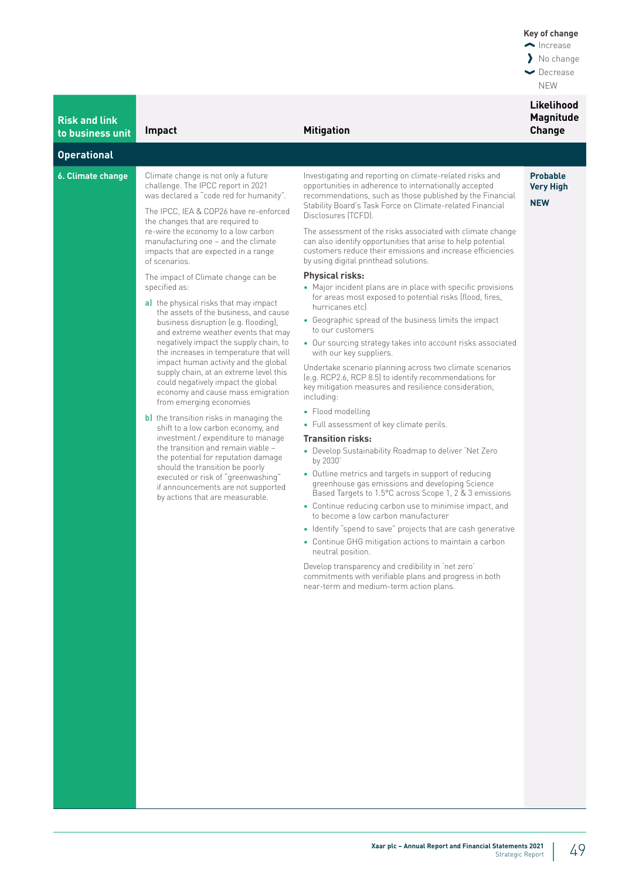| <b>Risk and link</b><br>to business unit | Impact                                                                                                                                                                                                                                                                                                                                                                                                                                                                   | <b>Mitigation</b>                                                                                                                                                                                                                                                   | Likelihood<br><b>Magnitude</b><br><b>Change</b>   |
|------------------------------------------|--------------------------------------------------------------------------------------------------------------------------------------------------------------------------------------------------------------------------------------------------------------------------------------------------------------------------------------------------------------------------------------------------------------------------------------------------------------------------|---------------------------------------------------------------------------------------------------------------------------------------------------------------------------------------------------------------------------------------------------------------------|---------------------------------------------------|
| <b>Operational</b>                       |                                                                                                                                                                                                                                                                                                                                                                                                                                                                          |                                                                                                                                                                                                                                                                     |                                                   |
| 6. Climate change                        | Climate change is not only a future<br>challenge. The IPCC report in 2021<br>was declared a "code red for humanity".<br>The IPCC, IEA & COP26 have re-enforced<br>the changes that are required to<br>re-wire the economy to a low carbon<br>manufacturing one - and the climate<br>impacts that are expected in a range<br>of scenarios.<br>The impact of Climate change can be<br>specified as:<br>a) the physical risks that may impact                               | Investigating and reporting on climate-related risks and<br>opportunities in adherence to internationally accepted<br>recommendations, such as those published by the Financial<br>Stability Board's Task Force on Climate-related Financial<br>Disclosures (TCFD). | <b>Probable</b><br><b>Very High</b><br><b>NEW</b> |
|                                          |                                                                                                                                                                                                                                                                                                                                                                                                                                                                          | The assessment of the risks associated with climate change<br>can also identify opportunities that arise to help potential<br>customers reduce their emissions and increase efficiencies<br>by using digital printhead solutions.                                   |                                                   |
|                                          |                                                                                                                                                                                                                                                                                                                                                                                                                                                                          | Physical risks:<br>• Major incident plans are in place with specific provisions<br>for areas most exposed to potential risks (flood, fires,<br>hurricanes etcl                                                                                                      |                                                   |
|                                          | the assets of the business, and cause<br>business disruption (e.g. flooding),<br>and extreme weather events that may                                                                                                                                                                                                                                                                                                                                                     | • Geographic spread of the business limits the impact<br>to our customers                                                                                                                                                                                           |                                                   |
|                                          | negatively impact the supply chain, to<br>the increases in temperature that will                                                                                                                                                                                                                                                                                                                                                                                         | • Our sourcing strategy takes into account risks associated<br>with our key suppliers.                                                                                                                                                                              |                                                   |
|                                          | impact human activity and the global<br>supply chain, at an extreme level this<br>could negatively impact the global<br>economy and cause mass emigration<br>from emerging economies<br><b>b)</b> the transition risks in managing the<br>shift to a low carbon economy, and<br>investment / expenditure to manage<br>the transition and remain viable -<br>the potential for reputation damage<br>should the transition be poorly<br>executed or risk of "greenwashing" | Undertake scenario planning across two climate scenarios<br>(e.g. RCP2.6, RCP 8.5) to identify recommendations for<br>key mitigation measures and resilience consideration,<br>including:                                                                           |                                                   |
|                                          |                                                                                                                                                                                                                                                                                                                                                                                                                                                                          | • Flood modelling<br>• Full assessment of key climate perils.                                                                                                                                                                                                       |                                                   |
|                                          |                                                                                                                                                                                                                                                                                                                                                                                                                                                                          | <b>Transition risks:</b><br>• Develop Sustainability Roadmap to deliver 'Net Zero<br>by 2030<br>• Outline metrics and targets in support of reducing                                                                                                                |                                                   |
|                                          | if announcements are not supported<br>by actions that are measurable.                                                                                                                                                                                                                                                                                                                                                                                                    | greenhouse gas emissions and developing Science<br>Based Targets to 1.5°C across Scope 1, 2 & 3 emissions                                                                                                                                                           |                                                   |
|                                          |                                                                                                                                                                                                                                                                                                                                                                                                                                                                          | • Continue reducing carbon use to minimise impact, and<br>to become a low carbon manufacturer                                                                                                                                                                       |                                                   |
|                                          |                                                                                                                                                                                                                                                                                                                                                                                                                                                                          | • Identify "spend to save" projects that are cash generative<br>• Continue GHG mitigation actions to maintain a carbon<br>neutral position.                                                                                                                         |                                                   |
|                                          |                                                                                                                                                                                                                                                                                                                                                                                                                                                                          | Develop transparency and credibility in 'net zero'<br>commitments with verifiable plans and progress in both<br>near-term and medium-term action plans.                                                                                                             |                                                   |
|                                          |                                                                                                                                                                                                                                                                                                                                                                                                                                                                          |                                                                                                                                                                                                                                                                     |                                                   |
|                                          |                                                                                                                                                                                                                                                                                                                                                                                                                                                                          |                                                                                                                                                                                                                                                                     |                                                   |
|                                          |                                                                                                                                                                                                                                                                                                                                                                                                                                                                          |                                                                                                                                                                                                                                                                     |                                                   |
|                                          |                                                                                                                                                                                                                                                                                                                                                                                                                                                                          |                                                                                                                                                                                                                                                                     |                                                   |
|                                          |                                                                                                                                                                                                                                                                                                                                                                                                                                                                          |                                                                                                                                                                                                                                                                     |                                                   |
|                                          |                                                                                                                                                                                                                                                                                                                                                                                                                                                                          |                                                                                                                                                                                                                                                                     |                                                   |
|                                          |                                                                                                                                                                                                                                                                                                                                                                                                                                                                          |                                                                                                                                                                                                                                                                     |                                                   |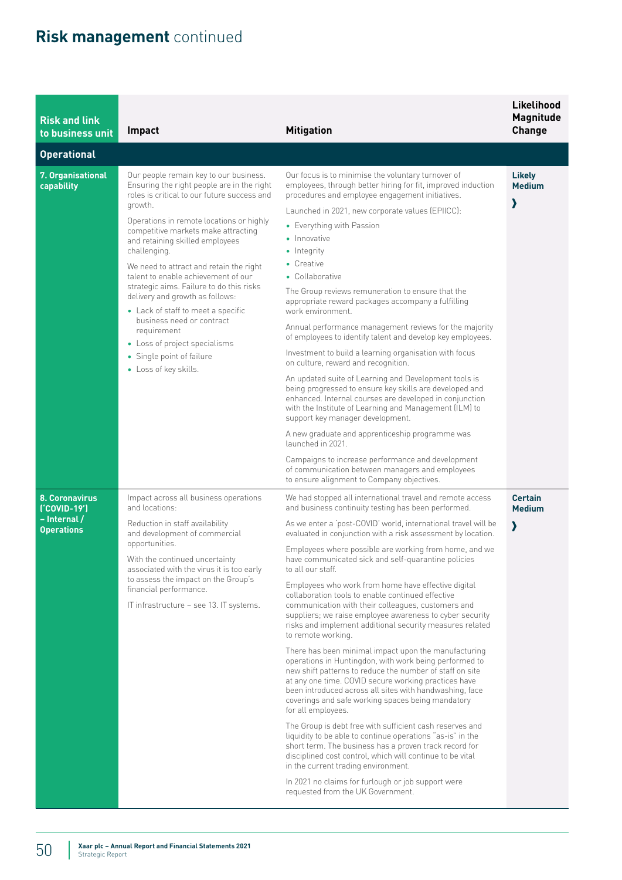| <b>Risk and link</b><br>to business unit                                   | Impact                                                                                                                                                                                                                                                                                                                                                                                                                                                                                                                                                                                                                         | <b>Mitigation</b>                                                                                                                                                                                                                                                                                                                                                                                                                                                                                                                                                                                                                                                                                                                                                                                                                                                                                                                                                                                                                                                                                                                                                                                                                                                                                                                                                                                                                                                                                                                                                                                                             | Likelihood<br><b>Magnitude</b><br><b>Change</b> |
|----------------------------------------------------------------------------|--------------------------------------------------------------------------------------------------------------------------------------------------------------------------------------------------------------------------------------------------------------------------------------------------------------------------------------------------------------------------------------------------------------------------------------------------------------------------------------------------------------------------------------------------------------------------------------------------------------------------------|-------------------------------------------------------------------------------------------------------------------------------------------------------------------------------------------------------------------------------------------------------------------------------------------------------------------------------------------------------------------------------------------------------------------------------------------------------------------------------------------------------------------------------------------------------------------------------------------------------------------------------------------------------------------------------------------------------------------------------------------------------------------------------------------------------------------------------------------------------------------------------------------------------------------------------------------------------------------------------------------------------------------------------------------------------------------------------------------------------------------------------------------------------------------------------------------------------------------------------------------------------------------------------------------------------------------------------------------------------------------------------------------------------------------------------------------------------------------------------------------------------------------------------------------------------------------------------------------------------------------------------|-------------------------------------------------|
| <b>Operational</b>                                                         |                                                                                                                                                                                                                                                                                                                                                                                                                                                                                                                                                                                                                                |                                                                                                                                                                                                                                                                                                                                                                                                                                                                                                                                                                                                                                                                                                                                                                                                                                                                                                                                                                                                                                                                                                                                                                                                                                                                                                                                                                                                                                                                                                                                                                                                                               |                                                 |
| 7. Organisational<br>capability                                            | Our people remain key to our business.<br>Ensuring the right people are in the right<br>roles is critical to our future success and<br>growth.<br>Operations in remote locations or highly<br>competitive markets make attracting<br>and retaining skilled employees<br>challenging.<br>We need to attract and retain the right<br>talent to enable achievement of our<br>strategic aims. Failure to do this risks<br>delivery and growth as follows:<br>• Lack of staff to meet a specific<br>business need or contract<br>requirement<br>• Loss of project specialisms<br>• Single point of failure<br>• Loss of key skills. | Our focus is to minimise the voluntary turnover of<br>employees, through better hiring for fit, improved induction<br>procedures and employee engagement initiatives.<br>Launched in 2021, new corporate values (EPIICC):<br>• Everything with Passion<br>• Innovative<br>• Integrity<br>• Creative<br>• Collaborative<br>The Group reviews remuneration to ensure that the<br>appropriate reward packages accompany a fulfilling<br>work environment.<br>Annual performance management reviews for the majority<br>of employees to identify talent and develop key employees.<br>Investment to build a learning organisation with focus<br>on culture, reward and recognition.<br>An updated suite of Learning and Development tools is<br>being progressed to ensure key skills are developed and<br>enhanced. Internal courses are developed in conjunction<br>with the Institute of Learning and Management (ILM) to<br>support key manager development.<br>A new graduate and apprenticeship programme was<br>launched in 2021.                                                                                                                                                                                                                                                                                                                                                                                                                                                                                                                                                                                          | <b>Likely</b><br><b>Medium</b><br>$\lambda$     |
| <b>8. Coronavirus</b><br>['COVID-19']<br>- Internal /<br><b>Operations</b> | Impact across all business operations<br>and locations:<br>Reduction in staff availability<br>and development of commercial<br>opportunities.<br>With the continued uncertainty<br>associated with the virus it is too early<br>to assess the impact on the Group's<br>financial performance.<br>IT infrastructure - see 13. IT systems.                                                                                                                                                                                                                                                                                       | Campaigns to increase performance and development<br>of communication between managers and employees<br>to ensure alignment to Company objectives.<br>We had stopped all international travel and remote access<br>and business continuity testing has been performed.<br>As we enter a 'post-COVID' world, international travel will be<br>evaluated in conjunction with a risk assessment by location.<br>Employees where possible are working from home, and we<br>have communicated sick and self-quarantine policies<br>to all our staff.<br>Employees who work from home have effective digital<br>collaboration tools to enable continued effective<br>communication with their colleagues, customers and<br>suppliers; we raise employee awareness to cyber security<br>risks and implement additional security measures related<br>to remote working.<br>There has been minimal impact upon the manufacturing<br>operations in Huntingdon, with work being performed to<br>new shift patterns to reduce the number of staff on site<br>at any one time. COVID secure working practices have<br>been introduced across all sites with handwashing, face<br>coverings and safe working spaces being mandatory<br>for all employees.<br>The Group is debt free with sufficient cash reserves and<br>liquidity to be able to continue operations "as-is" in the<br>short term. The business has a proven track record for<br>disciplined cost control, which will continue to be vital<br>in the current trading environment.<br>In 2021 no claims for furlough or job support were<br>requested from the UK Government. | <b>Certain</b><br><b>Medium</b><br>$\lambda$    |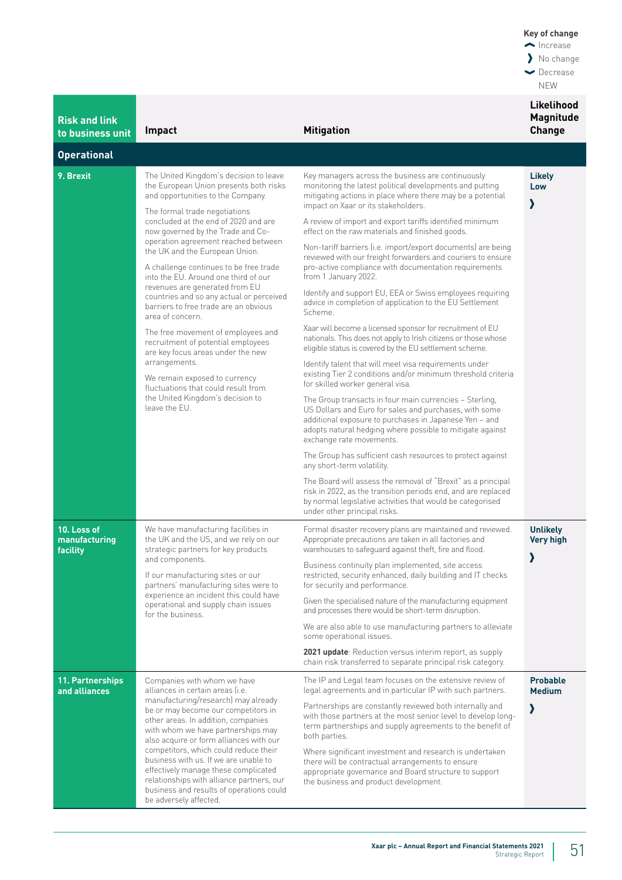| <b>Risk and link</b><br>to business unit | Impact                                                                                                                                                                                                                                    | <b>Mitigation</b>                                                                                                                                                                                                                                                    | Likelihood<br><b>Magnitude</b><br><b>Change</b> |
|------------------------------------------|-------------------------------------------------------------------------------------------------------------------------------------------------------------------------------------------------------------------------------------------|----------------------------------------------------------------------------------------------------------------------------------------------------------------------------------------------------------------------------------------------------------------------|-------------------------------------------------|
| <b>Operational</b>                       |                                                                                                                                                                                                                                           |                                                                                                                                                                                                                                                                      |                                                 |
| 9. Brexit                                | The United Kingdom's decision to leave<br>the European Union presents both risks<br>and opportunities to the Company.                                                                                                                     | Key managers across the business are continuously<br>monitoring the latest political developments and putting<br>mitigating actions in place where there may be a potential<br>impact on Xaar or its stakeholders.                                                   | Likely<br>Low<br>እ                              |
|                                          | The formal trade negotiations<br>concluded at the end of 2020 and are<br>now governed by the Trade and Co-                                                                                                                                | A review of import and export tariffs identified minimum<br>effect on the raw materials and finished goods.                                                                                                                                                          |                                                 |
|                                          | operation agreement reached between<br>the UK and the European Union.                                                                                                                                                                     | Non-tariff barriers (i.e. import/export documents) are being<br>reviewed with our freight forwarders and couriers to ensure                                                                                                                                          |                                                 |
|                                          | A challenge continues to be free trade<br>into the EU. Around one third of our<br>revenues are generated from EU                                                                                                                          | pro-active compliance with documentation requirements<br>from 1 January 2022.                                                                                                                                                                                        |                                                 |
|                                          | countries and so any actual or perceived<br>barriers to free trade are an obvious<br>area of concern.                                                                                                                                     | Identify and support EU, EEA or Swiss employees requiring<br>advice in completion of application to the EU Settlement<br>Scheme.                                                                                                                                     |                                                 |
|                                          | The free movement of employees and<br>recruitment of potential employees<br>are key focus areas under the new                                                                                                                             | Xaar will become a licensed sponsor for recruitment of EU<br>nationals. This does not apply to Irish citizens or those whose<br>eligible status is covered by the EU settlement scheme.                                                                              |                                                 |
|                                          | arrangements.<br>We remain exposed to currency<br>fluctuations that could result from                                                                                                                                                     | Identify talent that will meet visa requirements under<br>existing Tier 2 conditions and/or minimum threshold criteria<br>for skilled worker general visa.                                                                                                           |                                                 |
|                                          | the United Kingdom's decision to<br>leave the EU.                                                                                                                                                                                         | The Group transacts in four main currencies - Sterling,<br>US Dollars and Euro for sales and purchases, with some<br>additional exposure to purchases in Japanese Yen - and<br>adopts natural hedging where possible to mitigate against<br>exchange rate movements. |                                                 |
|                                          |                                                                                                                                                                                                                                           | The Group has sufficient cash resources to protect against<br>any short-term volatility.                                                                                                                                                                             |                                                 |
|                                          |                                                                                                                                                                                                                                           | The Board will assess the removal of "Brexit" as a principal<br>risk in 2022, as the transition periods end, and are replaced<br>by normal legislative activities that would be categorised<br>under other principal risks.                                          |                                                 |
| 10. Loss of<br>manufacturing<br>facility | We have manufacturing facilities in<br>the UK and the US, and we rely on our<br>strategic partners for key products                                                                                                                       | Formal disaster recovery plans are maintained and reviewed.<br>Appropriate precautions are taken in all factories and<br>warehouses to safeguard against theft, fire and flood.                                                                                      | <b>Unlikely</b><br><b>Very high</b>             |
|                                          | and components.<br>If our manufacturing sites or our<br>partners' manufacturing sites were to<br>experience an incident this could have<br>operational and supply chain issues<br>for the business.                                       | Business continuity plan implemented, site access<br>restricted, security enhanced, daily building and IT checks<br>for security and performance.                                                                                                                    | >                                               |
|                                          |                                                                                                                                                                                                                                           | Given the specialised nature of the manufacturing equipment<br>and processes there would be short-term disruption.                                                                                                                                                   |                                                 |
|                                          |                                                                                                                                                                                                                                           | We are also able to use manufacturing partners to alleviate<br>some operational issues.                                                                                                                                                                              |                                                 |
|                                          |                                                                                                                                                                                                                                           | 2021 update: Reduction versus interim report, as supply<br>chain risk transferred to separate principal risk category.                                                                                                                                               |                                                 |
| 11. Partnerships<br>and alliances        | Companies with whom we have<br>alliances in certain areas (i.e.                                                                                                                                                                           | The IP and Legal team focuses on the extensive review of<br>legal agreements and in particular IP with such partners.                                                                                                                                                | <b>Probable</b><br><b>Medium</b>                |
|                                          | manufacturing/research) may already<br>be or may become our competitors in<br>other areas. In addition, companies<br>with whom we have partnerships may<br>also acquire or form alliances with our                                        | Partnerships are constantly reviewed both internally and<br>with those partners at the most senior level to develop long-<br>term partnerships and supply agreements to the benefit of<br>both parties.                                                              | እ                                               |
|                                          | competitors, which could reduce their<br>business with us. If we are unable to<br>effectively manage these complicated<br>relationships with alliance partners, our<br>business and results of operations could<br>be adversely affected. | Where significant investment and research is undertaken<br>there will be contractual arrangements to ensure<br>appropriate governance and Board structure to support<br>the business and product development.                                                        |                                                 |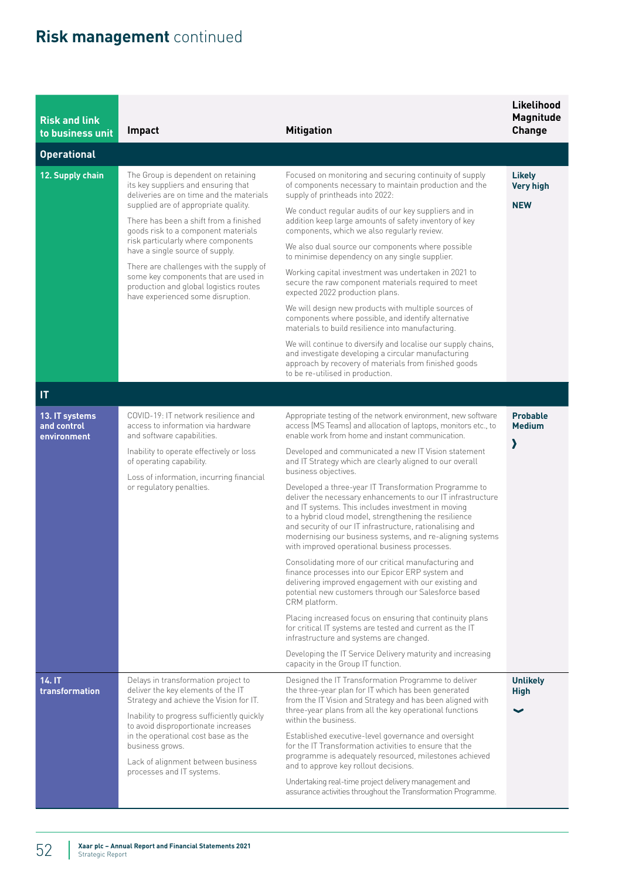| <b>Risk and link</b><br>to business unit     | <b>Impact</b>                                                                                                                                                                                                                                   | <b>Mitigation</b>                                                                                                                                                                                                                                                                                                                                                                                             | Likelihood<br>Magnitude<br><b>Change</b> |
|----------------------------------------------|-------------------------------------------------------------------------------------------------------------------------------------------------------------------------------------------------------------------------------------------------|---------------------------------------------------------------------------------------------------------------------------------------------------------------------------------------------------------------------------------------------------------------------------------------------------------------------------------------------------------------------------------------------------------------|------------------------------------------|
| <b>Operational</b>                           |                                                                                                                                                                                                                                                 |                                                                                                                                                                                                                                                                                                                                                                                                               |                                          |
| 12. Supply chain                             | The Group is dependent on retaining<br>its key suppliers and ensuring that<br>deliveries are on time and the materials<br>supplied are of appropriate quality.<br>There has been a shift from a finished<br>goods risk to a component materials | Focused on monitoring and securing continuity of supply<br>of components necessary to maintain production and the<br>supply of printheads into 2022:                                                                                                                                                                                                                                                          | <b>Likely</b><br><b>Very high</b>        |
|                                              |                                                                                                                                                                                                                                                 | We conduct regular audits of our key suppliers and in<br>addition keep large amounts of safety inventory of key<br>components, which we also regularly review.                                                                                                                                                                                                                                                | <b>NEW</b>                               |
|                                              | risk particularly where components<br>have a single source of supply.                                                                                                                                                                           | We also dual source our components where possible<br>to minimise dependency on any single supplier.                                                                                                                                                                                                                                                                                                           |                                          |
|                                              | There are challenges with the supply of<br>some key components that are used in<br>production and global logistics routes<br>have experienced some disruption.                                                                                  | Working capital investment was undertaken in 2021 to<br>secure the raw component materials required to meet<br>expected 2022 production plans.                                                                                                                                                                                                                                                                |                                          |
|                                              |                                                                                                                                                                                                                                                 | We will design new products with multiple sources of<br>components where possible, and identify alternative<br>materials to build resilience into manufacturing.                                                                                                                                                                                                                                              |                                          |
|                                              |                                                                                                                                                                                                                                                 | We will continue to diversify and localise our supply chains,<br>and investigate developing a circular manufacturing<br>approach by recovery of materials from finished goods<br>to be re-utilised in production.                                                                                                                                                                                             |                                          |
| IT.                                          |                                                                                                                                                                                                                                                 |                                                                                                                                                                                                                                                                                                                                                                                                               |                                          |
| 13. IT systems<br>and control<br>environment | COVID-19: IT network resilience and<br>access to information via hardware<br>and software capabilities.                                                                                                                                         | Appropriate testing of the network environment, new software<br>access (MS Teams) and allocation of laptops, monitors etc., to<br>enable work from home and instant communication.                                                                                                                                                                                                                            | <b>Probable</b><br><b>Medium</b>         |
|                                              | Inability to operate effectively or loss<br>of operating capability.<br>Loss of information, incurring financial                                                                                                                                | Developed and communicated a new IT Vision statement<br>and IT Strategy which are clearly aligned to our overall<br>business objectives.                                                                                                                                                                                                                                                                      | እ                                        |
|                                              | or regulatory penalties.                                                                                                                                                                                                                        | Developed a three-year IT Transformation Programme to<br>deliver the necessary enhancements to our IT infrastructure<br>and IT systems. This includes investment in moving<br>to a hybrid cloud model, strengthening the resilience<br>and security of our IT infrastructure, rationalising and<br>modernising our business systems, and re-aligning systems<br>with improved operational business processes. |                                          |
|                                              |                                                                                                                                                                                                                                                 | Consolidating more of our critical manufacturing and<br>finance processes into our Epicor ERP system and<br>delivering improved engagement with our existing and<br>potential new customers through our Salesforce based<br>CRM platform.                                                                                                                                                                     |                                          |
|                                              |                                                                                                                                                                                                                                                 | Placing increased focus on ensuring that continuity plans<br>for critical IT systems are tested and current as the IT<br>infrastructure and systems are changed.                                                                                                                                                                                                                                              |                                          |
|                                              |                                                                                                                                                                                                                                                 | Developing the IT Service Delivery maturity and increasing<br>capacity in the Group IT function.                                                                                                                                                                                                                                                                                                              |                                          |
| 14. IT<br>transformation                     | Delays in transformation project to<br>deliver the key elements of the IT<br>Strategy and achieve the Vision for IT.                                                                                                                            | Designed the IT Transformation Programme to deliver<br>the three-year plan for IT which has been generated<br>from the IT Vision and Strategy and has been aligned with<br>three-year plans from all the key operational functions                                                                                                                                                                            | <b>Unlikely</b><br><b>High</b>           |
|                                              | Inability to progress sufficiently quickly<br>to avoid disproportionate increases<br>in the operational cost base as the<br>business grows.                                                                                                     | within the business.<br>Established executive-level governance and oversight<br>for the IT Transformation activities to ensure that the                                                                                                                                                                                                                                                                       |                                          |
|                                              | Lack of alignment between business<br>processes and IT systems.                                                                                                                                                                                 | programme is adequately resourced, milestones achieved<br>and to approve key rollout decisions.                                                                                                                                                                                                                                                                                                               |                                          |
|                                              |                                                                                                                                                                                                                                                 | Undertaking real-time project delivery management and<br>assurance activities throughout the Transformation Programme.                                                                                                                                                                                                                                                                                        |                                          |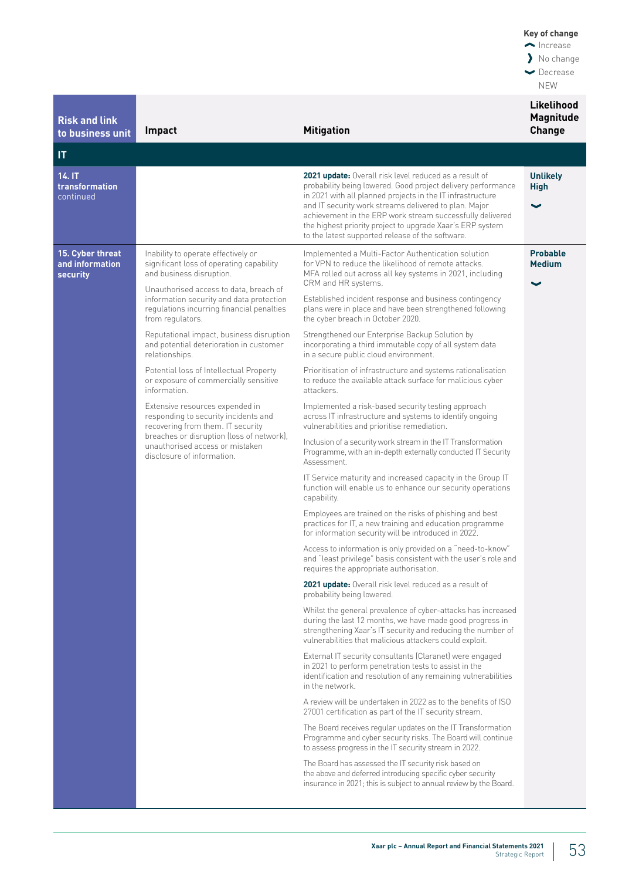| <b>Risk and link</b><br>to business unit               | Impact                                                                                                                                                                                                                     | <b>Mitigation</b>                                                                                                                                                                                                                                                                                                                                                                                                           | Likelihood<br><b>Magnitude</b><br><b>Change</b>  |
|--------------------------------------------------------|----------------------------------------------------------------------------------------------------------------------------------------------------------------------------------------------------------------------------|-----------------------------------------------------------------------------------------------------------------------------------------------------------------------------------------------------------------------------------------------------------------------------------------------------------------------------------------------------------------------------------------------------------------------------|--------------------------------------------------|
| IT                                                     |                                                                                                                                                                                                                            |                                                                                                                                                                                                                                                                                                                                                                                                                             |                                                  |
| 14. IT<br>transformation<br>continued                  |                                                                                                                                                                                                                            | 2021 update: Overall risk level reduced as a result of<br>probability being lowered. Good project delivery performance<br>in 2021 with all planned projects in the IT infrastructure<br>and IT security work streams delivered to plan. Major<br>achievement in the ERP work stream successfully delivered<br>the highest priority project to upgrade Xaar's ERP system<br>to the latest supported release of the software. | <b>Unlikely</b><br><b>High</b><br>$\checkmark$   |
| 15. Cyber threat<br>and information<br><b>security</b> | Inability to operate effectively or<br>significant loss of operating capability<br>and business disruption.<br>Unauthorised access to data, breach of                                                                      | Implemented a Multi-Factor Authentication solution<br>for VPN to reduce the likelihood of remote attacks.<br>MFA rolled out across all key systems in 2021, including<br>CRM and HR systems.                                                                                                                                                                                                                                | <b>Probable</b><br><b>Medium</b><br>$\checkmark$ |
|                                                        | information security and data protection<br>regulations incurring financial penalties<br>from regulators.                                                                                                                  | Established incident response and business contingency<br>plans were in place and have been strengthened following<br>the cyber breach in October 2020.                                                                                                                                                                                                                                                                     |                                                  |
|                                                        | Reputational impact, business disruption<br>and potential deterioration in customer<br>relationships.                                                                                                                      | Strengthened our Enterprise Backup Solution by<br>incorporating a third immutable copy of all system data<br>in a secure public cloud environment.                                                                                                                                                                                                                                                                          |                                                  |
|                                                        | Potential loss of Intellectual Property<br>or exposure of commercially sensitive<br>information.                                                                                                                           | Prioritisation of infrastructure and systems rationalisation<br>to reduce the available attack surface for malicious cyber<br>attackers.                                                                                                                                                                                                                                                                                    |                                                  |
|                                                        | Extensive resources expended in<br>responding to security incidents and<br>recovering from them. IT security<br>breaches or disruption (loss of network),<br>unauthorised access or mistaken<br>disclosure of information. | Implemented a risk-based security testing approach<br>across IT infrastructure and systems to identify ongoing<br>vulnerabilities and prioritise remediation.                                                                                                                                                                                                                                                               |                                                  |
|                                                        |                                                                                                                                                                                                                            | Inclusion of a security work stream in the IT Transformation<br>Programme, with an in-depth externally conducted IT Security<br>Assessment.                                                                                                                                                                                                                                                                                 |                                                  |
|                                                        |                                                                                                                                                                                                                            | IT Service maturity and increased capacity in the Group IT<br>function will enable us to enhance our security operations<br>capability.                                                                                                                                                                                                                                                                                     |                                                  |
|                                                        |                                                                                                                                                                                                                            | Employees are trained on the risks of phishing and best<br>practices for IT, a new training and education programme<br>for information security will be introduced in 2022.                                                                                                                                                                                                                                                 |                                                  |
|                                                        |                                                                                                                                                                                                                            | Access to information is only provided on a "need-to-know"<br>and "least privilege" basis consistent with the user's role and<br>requires the appropriate authorisation.                                                                                                                                                                                                                                                    |                                                  |
|                                                        |                                                                                                                                                                                                                            | 2021 update: Overall risk level reduced as a result of<br>probability being lowered.                                                                                                                                                                                                                                                                                                                                        |                                                  |
|                                                        |                                                                                                                                                                                                                            | Whilst the general prevalence of cyber-attacks has increased<br>during the last 12 months, we have made good progress in<br>strengthening Xaar's IT security and reducing the number of<br>vulnerabilities that malicious attackers could exploit.                                                                                                                                                                          |                                                  |
|                                                        |                                                                                                                                                                                                                            | External IT security consultants (Claranet) were engaged<br>in 2021 to perform penetration tests to assist in the<br>identification and resolution of any remaining vulnerabilities<br>in the network.                                                                                                                                                                                                                      |                                                  |
|                                                        |                                                                                                                                                                                                                            | A review will be undertaken in 2022 as to the benefits of ISO<br>27001 certification as part of the IT security stream.                                                                                                                                                                                                                                                                                                     |                                                  |
|                                                        |                                                                                                                                                                                                                            | The Board receives regular updates on the IT Transformation<br>Programme and cyber security risks. The Board will continue<br>to assess progress in the IT security stream in 2022.                                                                                                                                                                                                                                         |                                                  |
|                                                        |                                                                                                                                                                                                                            | The Board has assessed the IT security risk based on<br>the above and deferred introducing specific cyber security<br>insurance in 2021; this is subject to annual review by the Board.                                                                                                                                                                                                                                     |                                                  |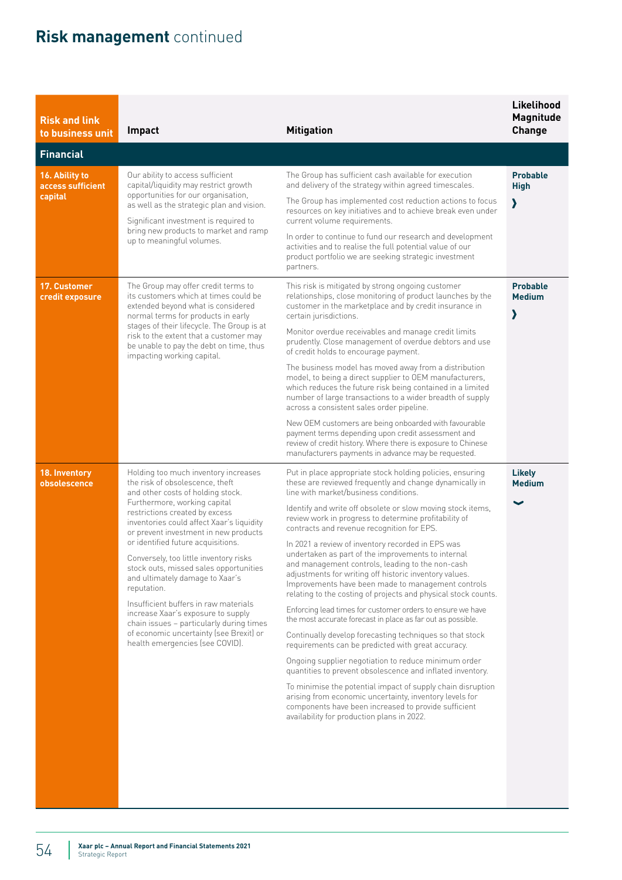| <b>Risk and link</b><br>to business unit | Impact                                                                                                                                                                                                                                                                                                                                                                                                                                                                                                                                                                      | <b>Mitigation</b>                                                                                                                                                                                                                                                                                                                             | Likelihood<br><b>Magnitude</b><br><b>Change</b> |
|------------------------------------------|-----------------------------------------------------------------------------------------------------------------------------------------------------------------------------------------------------------------------------------------------------------------------------------------------------------------------------------------------------------------------------------------------------------------------------------------------------------------------------------------------------------------------------------------------------------------------------|-----------------------------------------------------------------------------------------------------------------------------------------------------------------------------------------------------------------------------------------------------------------------------------------------------------------------------------------------|-------------------------------------------------|
| <b>Financial</b>                         |                                                                                                                                                                                                                                                                                                                                                                                                                                                                                                                                                                             |                                                                                                                                                                                                                                                                                                                                               |                                                 |
| 16. Ability to<br>access sufficient      | Our ability to access sufficient<br>capital/liquidity may restrict growth                                                                                                                                                                                                                                                                                                                                                                                                                                                                                                   | The Group has sufficient cash available for execution<br>and delivery of the strategy within agreed timescales.                                                                                                                                                                                                                               | <b>Probable</b><br><b>High</b>                  |
| capital                                  | opportunities for our organisation,<br>as well as the strategic plan and vision.<br>Significant investment is required to                                                                                                                                                                                                                                                                                                                                                                                                                                                   | The Group has implemented cost reduction actions to focus<br>resources on key initiatives and to achieve break even under<br>current volume requirements.                                                                                                                                                                                     | እ                                               |
|                                          | bring new products to market and ramp<br>up to meaningful volumes.                                                                                                                                                                                                                                                                                                                                                                                                                                                                                                          | In order to continue to fund our research and development<br>activities and to realise the full potential value of our<br>product portfolio we are seeking strategic investment<br>partners.                                                                                                                                                  |                                                 |
| 17. Customer<br>credit exposure          | The Group may offer credit terms to<br>its customers which at times could be<br>extended beyond what is considered<br>normal terms for products in early                                                                                                                                                                                                                                                                                                                                                                                                                    | This risk is mitigated by strong ongoing customer<br>relationships, close monitoring of product launches by the<br>customer in the marketplace and by credit insurance in<br>certain jurisdictions.                                                                                                                                           | <b>Probable</b><br><b>Medium</b><br>እ           |
|                                          | stages of their lifecycle. The Group is at<br>risk to the extent that a customer may<br>be unable to pay the debt on time, thus<br>impacting working capital.                                                                                                                                                                                                                                                                                                                                                                                                               | Monitor overdue receivables and manage credit limits<br>prudently. Close management of overdue debtors and use<br>of credit holds to encourage payment.                                                                                                                                                                                       |                                                 |
|                                          |                                                                                                                                                                                                                                                                                                                                                                                                                                                                                                                                                                             | The business model has moved away from a distribution<br>model, to being a direct supplier to OEM manufacturers,<br>which reduces the future risk being contained in a limited<br>number of large transactions to a wider breadth of supply<br>across a consistent sales order pipeline.                                                      |                                                 |
|                                          |                                                                                                                                                                                                                                                                                                                                                                                                                                                                                                                                                                             | New OEM customers are being onboarded with favourable<br>payment terms depending upon credit assessment and<br>review of credit history. Where there is exposure to Chinese<br>manufacturers payments in advance may be requested.                                                                                                            |                                                 |
| 18. Inventory<br>obsolescence            | Holding too much inventory increases<br>the risk of obsolescence, theft<br>and other costs of holding stock.<br>Furthermore, working capital<br>restrictions created by excess<br>inventories could affect Xaar's liquidity<br>or prevent investment in new products<br>or identified future acquisitions.<br>Conversely, too little inventory risks<br>stock outs, missed sales opportunities<br>and ultimately damage to Xaar's<br>reputation.<br>Insufficient buffers in raw materials<br>increase Xaar's exposure to supply<br>chain issues - particularly during times | Put in place appropriate stock holding policies, ensuring<br>these are reviewed frequently and change dynamically in<br>line with market/business conditions.                                                                                                                                                                                 | <b>Likely</b><br><b>Medium</b>                  |
|                                          |                                                                                                                                                                                                                                                                                                                                                                                                                                                                                                                                                                             | Identify and write off obsolete or slow moving stock items,<br>review work in progress to determine profitability of<br>contracts and revenue recognition for EPS.                                                                                                                                                                            | $\checkmark$                                    |
|                                          |                                                                                                                                                                                                                                                                                                                                                                                                                                                                                                                                                                             | In 2021 a review of inventory recorded in EPS was<br>undertaken as part of the improvements to internal<br>and management controls, leading to the non-cash<br>adjustments for writing off historic inventory values.<br>Improvements have been made to management controls<br>relating to the costing of projects and physical stock counts. |                                                 |
|                                          |                                                                                                                                                                                                                                                                                                                                                                                                                                                                                                                                                                             | Enforcing lead times for customer orders to ensure we have<br>the most accurate forecast in place as far out as possible.                                                                                                                                                                                                                     |                                                 |
|                                          | of economic uncertainty (see Brexit) or<br>health emergencies (see COVID).                                                                                                                                                                                                                                                                                                                                                                                                                                                                                                  | Continually develop forecasting techniques so that stock<br>requirements can be predicted with great accuracy.                                                                                                                                                                                                                                |                                                 |
|                                          |                                                                                                                                                                                                                                                                                                                                                                                                                                                                                                                                                                             | Ongoing supplier negotiation to reduce minimum order<br>quantities to prevent obsolescence and inflated inventory.                                                                                                                                                                                                                            |                                                 |
|                                          |                                                                                                                                                                                                                                                                                                                                                                                                                                                                                                                                                                             | To minimise the potential impact of supply chain disruption<br>arising from economic uncertainty, inventory levels for<br>components have been increased to provide sufficient<br>availability for production plans in 2022.                                                                                                                  |                                                 |
|                                          |                                                                                                                                                                                                                                                                                                                                                                                                                                                                                                                                                                             |                                                                                                                                                                                                                                                                                                                                               |                                                 |
|                                          |                                                                                                                                                                                                                                                                                                                                                                                                                                                                                                                                                                             |                                                                                                                                                                                                                                                                                                                                               |                                                 |
|                                          |                                                                                                                                                                                                                                                                                                                                                                                                                                                                                                                                                                             |                                                                                                                                                                                                                                                                                                                                               |                                                 |